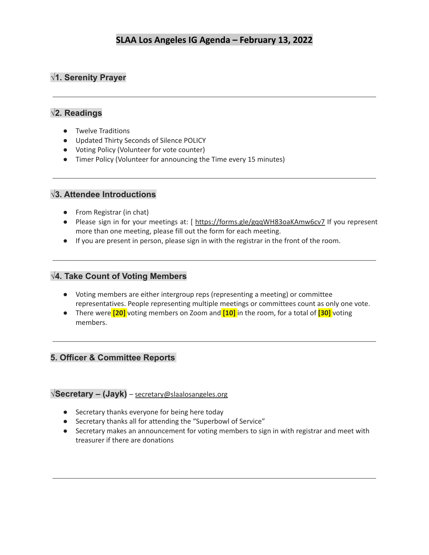## **√1. Serenity Prayer**

## **√2. Readings**

- Twelve Traditions
- Updated Thirty Seconds of Silence POLICY
- Voting Policy (Volunteer for vote counter)
- Timer Policy (Volunteer for announcing the Time every 15 minutes)

### **√3. Attendee Introductions**

- From Registrar (in chat)
- Please sign in for your meetings at: [ <https://forms.gle/gqqWH83oaKAmw6cv7> If you represent more than one meeting, please fill out the form for each meeting.
- If you are present in person, please sign in with the registrar in the front of the room.

### **√4. Take Count of Voting Members**

- Voting members are either intergroup reps (representing a meeting) or committee representatives. People representing multiple meetings or committees count as only one vote.
- There were **[20]** voting members on Zoom and **[10]** in the room, for a total of **[30]** voting members.

## **5. Officer & Committee Reports**

#### **√Secretary – (Jayk)** – [secretary@slaalosangeles.org](mailto:secretary@slaalosangeles.org)

- Secretary thanks everyone for being here today
- Secretary thanks all for attending the "Superbowl of Service"
- Secretary makes an announcement for voting members to sign in with registrar and meet with treasurer if there are donations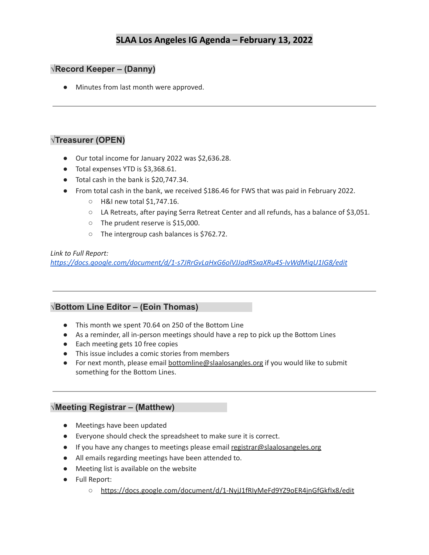#### **√Record Keeper – (Danny)**

● Minutes from last month were approved.

### **√Treasurer (OPEN)**

- Our total income for January 2022 was \$2,636.28.
- Total expenses YTD is \$3,368.61.
- Total cash in the bank is \$20,747.34.
- From total cash in the bank, we received \$186.46 for FWS that was paid in February 2022.
	- H&I new total \$1,747.16.
	- LA Retreats, after paying Serra Retreat Center and all refunds, has a balance of \$3,051.
	- The prudent reserve is \$15,000.
	- The intergroup cash balances is \$762.72.

*Link to Full Report: <https://docs.google.com/document/d/1-s7JRrGvLaHxG6olVJJadRSxaXRu4S-IvWdMiqU1IG8/edit>*

#### **√Bottom Line Editor – (Eoin Thomas)**

- This month we spent 70.64 on 250 of the Bottom Line
- As a reminder, all in-person meetings should have a rep to pick up the Bottom Lines
- Each meeting gets 10 free copies
- This issue includes a comic stories from members
- For next month, please email [bottomline@slaalosangles.org](mailto:bottomline@slaalosangles.org) if you would like to submit something for the Bottom Lines.

#### **√Meeting Registrar – (Matthew)**

- Meetings have been updated
- Everyone should check the spreadsheet to make sure it is correct.
- If you have any changes to meetings please email [registrar@slaalosangeles.org](mailto:registrar@slaalosangeles.org)
- All emails regarding meetings have been attended to.
- Meeting list is available on the website
- Full Report:
	- <https://docs.google.com/document/d/1-NyjJ1fRIyMeFd9YZ9oER4jnGfGkfIx8/edit>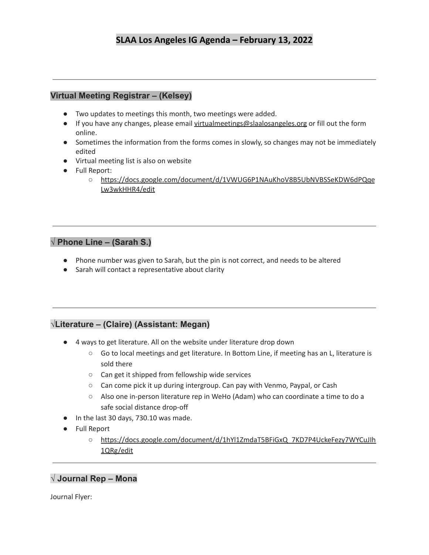## **Virtual Meeting Registrar – (Kelsey)**

- Two updates to meetings this month, two meetings were added.
- If you have any changes, please email [virtualmeetings@slaalosangeles.org](mailto:virtualmeetings@slaalosangeles.org) or fill out the form online.
- Sometimes the information from the forms comes in slowly, so changes may not be immediately edited
- Virtual meeting list is also on website
- Full Report:
	- [https://docs.google.com/document/d/1VWUG6P1NAuKhoV8B5UbNVBSSeKDW6dPQqe](https://docs.google.com/document/d/1VWUG6P1NAuKhoV8B5UbNVBSSeKDW6dPQqeLw3wkHHR4/edit) [Lw3wkHHR4/edit](https://docs.google.com/document/d/1VWUG6P1NAuKhoV8B5UbNVBSSeKDW6dPQqeLw3wkHHR4/edit)

## **√ Phone Line – (Sarah S.)**

- Phone number was given to Sarah, but the pin is not correct, and needs to be altered
- Sarah will contact a representative about clarity

## **√Literature – (Claire) (Assistant: Megan)**

- 4 ways to get literature. All on the website under literature drop down
	- Go to local meetings and get literature. In Bottom Line, if meeting has an L, literature is sold there
	- $\circ$  Can get it shipped from fellowship wide services
	- Can come pick it up during intergroup. Can pay with Venmo, Paypal, or Cash
	- Also one in-person literature rep in WeHo (Adam) who can coordinate a time to do a safe social distance drop-off
- In the last 30 days, 730.10 was made.
- Full Report
	- [https://docs.google.com/document/d/1hYl1ZmdaT5BFiGxQ\\_7KD7P4UckeFezy7WYCuJIh](https://docs.google.com/document/d/1hYl1ZmdaT5BFiGxQ_7KD7P4UckeFezy7WYCuJIh1QRg/edit) [1QRg/edit](https://docs.google.com/document/d/1hYl1ZmdaT5BFiGxQ_7KD7P4UckeFezy7WYCuJIh1QRg/edit)

## **√ Journal Rep – Mona**

Journal Flyer: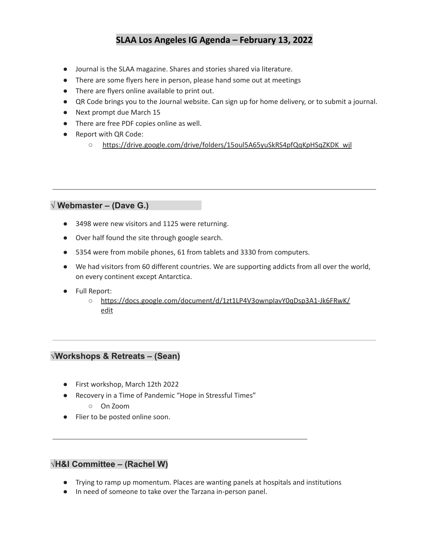- Journal is the SLAA magazine. Shares and stories shared via literature.
- There are some flyers here in person, please hand some out at meetings
- There are flyers online available to print out.
- QR Code brings you to the Journal website. Can sign up for home delivery, or to submit a journal.
- Next prompt due March 15
- There are free PDF copies online as well.
- Report with QR Code:
	- [https://drive.google.com/drive/folders/15oul5A65yuSkRS4pfQqKpHSqZKDK\\_wjl](https://drive.google.com/drive/folders/15oul5A65yuSkRS4pfQqKpHSqZKDK_wjl)

#### **√ Webmaster – (Dave G.)**

- 3498 were new visitors and 1125 were returning.
- Over half found the site through google search.
- 5354 were from mobile phones, 61 from tablets and 3330 from computers.
- We had visitors from 60 different countries. We are supporting addicts from all over the world, on every continent except Antarctica.
- Full Report:
	- [https://docs.google.com/document/d/1zt1LP4V3ownpIavY0qDsp3A1-Jk6FRwK/](https://docs.google.com/document/d/1zt1LP4V3ownpIavY0qDsp3A1-Jk6FRwK/edit) [edit](https://docs.google.com/document/d/1zt1LP4V3ownpIavY0qDsp3A1-Jk6FRwK/edit)

### **√Workshops & Retreats – (Sean)**

- First workshop, March 12th 2022
- Recovery in a Time of Pandemic "Hope in Stressful Times"
	- On Zoom
- Flier to be posted online soon.

#### **√H&I Committee – (Rachel W)**

- Trying to ramp up momentum. Places are wanting panels at hospitals and institutions
- In need of someone to take over the Tarzana in-person panel.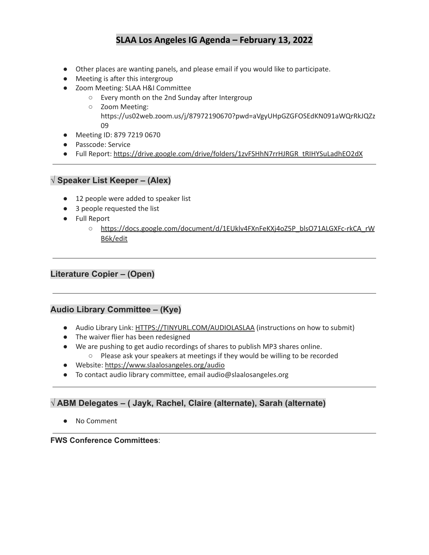- Other places are wanting panels, and please email if you would like to participate.
- Meeting is after this intergroup
- Zoom Meeting: SLAA H&I Committee
	- Every month on the 2nd Sunday after Intergroup
	- Zoom Meeting: https://us02web.zoom.us/j/87972190670?pwd=aVgyUHpGZGFOSEdKN091aWQrRkJQZz 09
- Meeting ID: 879 7219 0670
- Passcode: Service
- Full Report: [https://drive.google.com/drive/folders/1zvFSHhN7rrHJRGR\\_tRIHYSuLadhEO2dX](https://drive.google.com/drive/folders/1zvFSHhN7rrHJRGR_tRIHYSuLadhEO2dX)

### **√ Speaker List Keeper – (Alex)**

- 12 people were added to speaker list
- 3 people requested the list
- Full Report
	- [https://docs.google.com/document/d/1EUklv4FXnFeKXj4oZ5P\\_blsO71ALGXFc-rkCA\\_rW](https://docs.google.com/document/d/1EUklv4FXnFeKXj4oZ5P_blsO71ALGXFc-rkCA_rWB6k/edit) [B6k/edit](https://docs.google.com/document/d/1EUklv4FXnFeKXj4oZ5P_blsO71ALGXFc-rkCA_rWB6k/edit)

## **Literature Copier – (Open)**

### **Audio Library Committee – (Kye)**

- Audio Library Link: [HTTPS://TINYURL.COM/AUDIOLASLAA](https://tinyurl.com/AUDIOLASLAA) (instructions on how to submit)
- The waiver flier has been redesigned
- We are pushing to get audio recordings of shares to publish MP3 shares online.
	- Please ask your speakers at meetings if they would be willing to be recorded
- Website: <https://www.slaalosangeles.org/audio>
- To contact audio library committee, email audio@slaalosangeles.org

## **√ ABM Delegates – ( Jayk, Rachel, Claire (alternate), Sarah (alternate)**

● No Comment

**FWS Conference Committees**: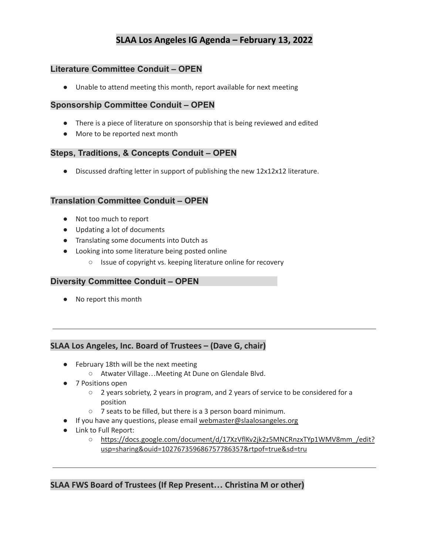#### **Literature Committee Conduit – OPEN**

● Unable to attend meeting this month, report available for next meeting

#### **Sponsorship Committee Conduit – OPEN**

- There is a piece of literature on sponsorship that is being reviewed and edited
- More to be reported next month

#### **Steps, Traditions, & Concepts Conduit – OPEN**

● Discussed drafting letter in support of publishing the new 12x12x12 literature.

#### **Translation Committee Conduit – OPEN**

- Not too much to report
- Updating a lot of documents
- Translating some documents into Dutch as
- Looking into some literature being posted online
	- Issue of copyright vs. keeping literature online for recovery

#### **Diversity Committee Conduit – OPEN**

● No report this month

### **SLAA Los Angeles, Inc. Board of Trustees – (Dave G, chair)**

- February 18th will be the next meeting
	- Atwater Village…Meeting At Dune on Glendale Blvd.
- 7 Positions open
	- 2 years sobriety, 2 years in program, and 2 years of service to be considered for a position
	- 7 seats to be filled, but there is a 3 person board minimum.
- If you have any questions, please email [webmaster@slaalosangeles.org](mailto:webmaster@slaalosangeles.org)
- Link to Full Report:
	- https://docs.google.com/document/d/17XzVflKv2jk2z5MNCRnzxTYp1WMV8mm /edit? [usp=sharing&ouid=102767359686757786357&rtpof=true&sd=tru](https://docs.google.com/document/d/17XzVflKv2jk2z5MNCRnzxTYp1WMV8mm_/edit?usp=sharing&ouid=102767359686757786357&rtpof=true&sd=true)

#### **SLAA FWS Board of Trustees (If Rep Present… Christina M or other)**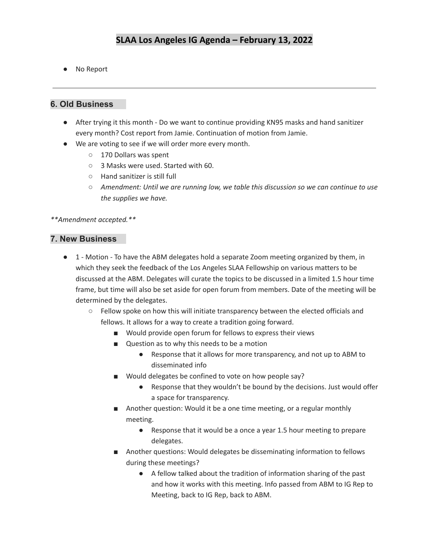● No Report

### **6. Old Business**

- After trying it this month Do we want to continue providing KN95 masks and hand sanitizer every month? Cost report from Jamie. Continuation of motion from Jamie.
- We are voting to see if we will order more every month.
	- 170 Dollars was spent
	- 3 Masks were used. Started with 60.
	- Hand sanitizer is still full
	- *○ Amendment: Until we are running low, we table this discussion so we can continue to use the supplies we have.*

*\*\*Amendment accepted.\*\**

#### **7. New Business**

- 1 Motion To have the ABM delegates hold a separate Zoom meeting organized by them, in which they seek the feedback of the Los Angeles SLAA Fellowship on various matters to be discussed at the ABM. Delegates will curate the topics to be discussed in a limited 1.5 hour time frame, but time will also be set aside for open forum from members. Date of the meeting will be determined by the delegates.
	- Fellow spoke on how this will initiate transparency between the elected officials and fellows. It allows for a way to create a tradition going forward.
		- Would provide open forum for fellows to express their views
		- Question as to why this needs to be a motion
			- Response that it allows for more transparency, and not up to ABM to disseminated info
		- Would delegates be confined to vote on how people say?
			- Response that they wouldn't be bound by the decisions. Just would offer a space for transparency.
		- Another question: Would it be a one time meeting, or a regular monthly meeting.
			- Response that it would be a once a year 1.5 hour meeting to prepare delegates.
		- Another questions: Would delegates be disseminating information to fellows during these meetings?
			- A fellow talked about the tradition of information sharing of the past and how it works with this meeting. Info passed from ABM to IG Rep to Meeting, back to IG Rep, back to ABM.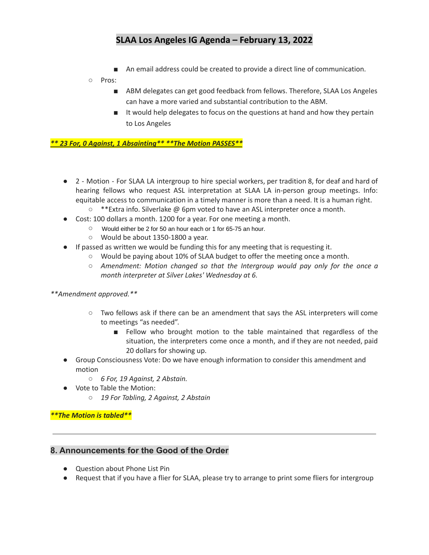■ An email address could be created to provide a direct line of communication.

#### ○ Pros:

- ABM delegates can get good feedback from fellows. Therefore, SLAA Los Angeles can have a more varied and substantial contribution to the ABM.
- It would help delegates to focus on the questions at hand and how they pertain to Los Angeles

#### *\*\* 23 For, 0 Against, 1 Absainting\*\* \*\*The Motion PASSES\*\**

- 2 Motion For SLAA LA intergroup to hire special workers, per tradition 8, for deaf and hard of hearing fellows who request ASL interpretation at SLAA LA in-person group meetings. Info: equitable access to communication in a timely manner is more than a need. It is a human right.
	- $\circ$  \*\*Extra info. Silverlake @ 6pm voted to have an ASL interpreter once a month.
- Cost: 100 dollars a month. 1200 for a year. For one meeting a month.
	- $\circ$  Would either be 2 for 50 an hour each or 1 for 65-75 an hour.
	- Would be about 1350-1800 a year.
- If passed as written we would be funding this for any meeting that is requesting it.
	- Would be paying about 10% of SLAA budget to offer the meeting once a month.
	- *○ Amendment: Motion changed so that the Intergroup would pay only for the once a month interpreter at Silver Lakes' Wednesday at 6.*

#### *\*\*Amendment approved.\*\**

- Two fellows ask if there can be an amendment that says the ASL interpreters will come to meetings "as needed".
	- Fellow who brought motion to the table maintained that regardless of the situation, the interpreters come once a month, and if they are not needed, paid 20 dollars for showing up.
- Group Consciousness Vote: Do we have enough information to consider this amendment and motion
	- *○ 6 For, 19 Against, 2 Abstain.*
- Vote to Table the Motion:
	- *○ 19 For Tabling, 2 Against, 2 Abstain*

#### *\*\*The Motion is tabled\*\**

#### **8. Announcements for the Good of the Order**

- Ouestion about Phone List Pin
- Request that if you have a flier for SLAA, please try to arrange to print some fliers for intergroup